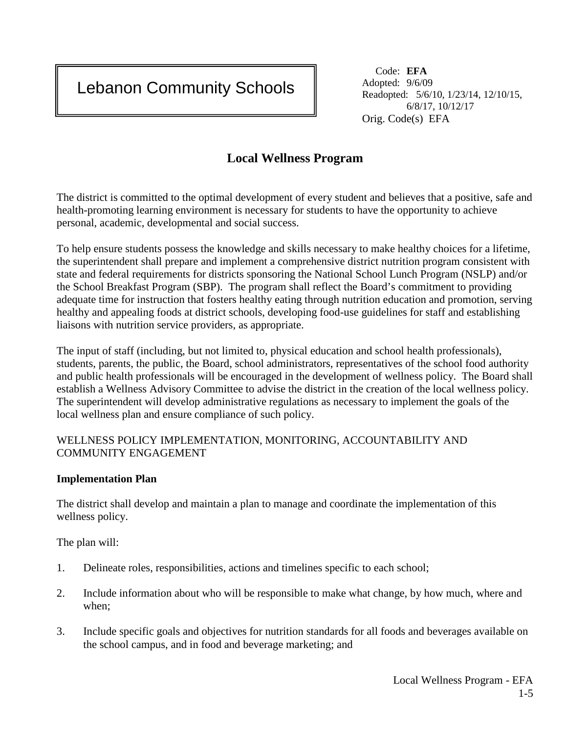Lebanon Community Schools

 Code: **EFA**  Adopted: 9/6/09 Readopted: 5/6/10, 1/23/14, 12/10/15, 6/8/17, 10/12/17 Orig. Code(s) EFA

# **Local Wellness Program**

The district is committed to the optimal development of every student and believes that a positive, safe and health-promoting learning environment is necessary for students to have the opportunity to achieve personal, academic, developmental and social success.

 To help ensure students possess the knowledge and skills necessary to make healthy choices for a lifetime, the superintendent shall prepare and implement a comprehensive district nutrition program consistent with state and federal requirements for districts sponsoring the National School Lunch Program (NSLP) and/or the School Breakfast Program (SBP). The program shall reflect the Board's commitment to providing adequate time for instruction that fosters healthy eating through nutrition education and promotion, serving healthy and appealing foods at district schools, developing food-use guidelines for staff and establishing liaisons with nutrition service providers, as appropriate.

 and public health professionals will be encouraged in the development of wellness policy. The Board shall The input of staff (including, but not limited to, physical education and school health professionals), students, parents, the public, the Board, school administrators, representatives of the school food authority establish a Wellness Advisory Committee to advise the district in the creation of the local wellness policy. The superintendent will develop administrative regulations as necessary to implement the goals of the local wellness plan and ensure compliance of such policy.

#### WELLNESS POLICY IMPLEMENTATION, MONITORING, ACCOUNTABILITY AND COMMUNITY ENGAGEMENT

#### **Implementation Plan**

The district shall develop and maintain a plan to manage and coordinate the implementation of this wellness policy.

The plan will:

I

Ē

- 1. Delineate roles, responsibilities, actions and timelines specific to each school;
- 2. Include information about who will be responsible to make what change, by how much, where and when;
- 3. Include specific goals and objectives for nutrition standards for all foods and beverages available on the school campus, and in food and beverage marketing; and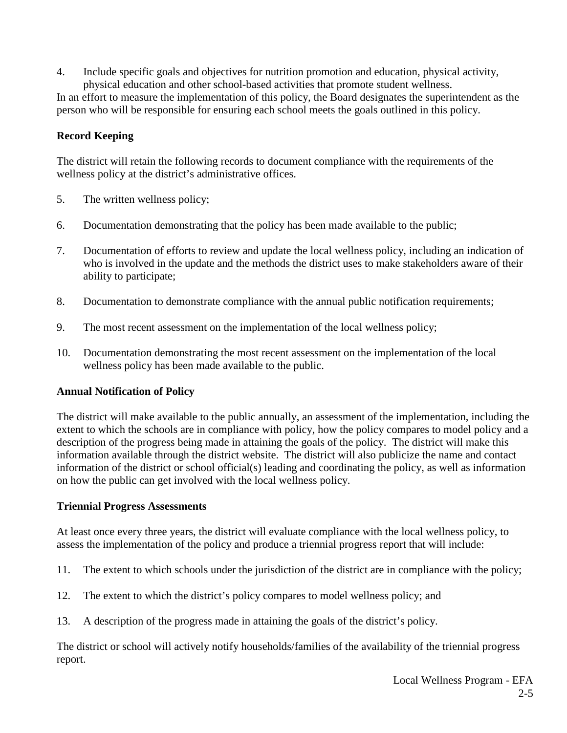4. Include specific goals and objectives for nutrition promotion and education, physical activity, physical education and other school-based activities that promote student wellness.

 In an effort to measure the implementation of this policy*,* the Board designates the superintendent as the person who will be responsible for ensuring each school meets the goals outlined in this policy.

### **Record Keeping**

The district will retain the following records to document compliance with the requirements of the wellness policy at the district's administrative offices.

- 5. The written wellness policy;
- 6. Documentation demonstrating that the policy has been made available to the public;
- 7. Documentation of efforts to review and update the local wellness policy, including an indication of who is involved in the update and the methods the district uses to make stakeholders aware of their ability to participate;
- 8. Documentation to demonstrate compliance with the annual public notification requirements;
- 9. The most recent assessment on the implementation of the local wellness policy;
- 10. Documentation demonstrating the most recent assessment on the implementation of the local wellness policy has been made available to the public.

#### **Annual Notification of Policy**

 extent to which the schools are in compliance with policy, how the policy compares to model policy and a The district will make available to the public annually, an assessment of the implementation, including the description of the progress being made in attaining the goals of the policy. The district will make this information available through the district website. The district will also publicize the name and contact information of the district or school official(s) leading and coordinating the policy, as well as information on how the public can get involved with the local wellness policy.

#### **Triennial Progress Assessments**

 At least once every three years, the district will evaluate compliance with the local wellness policy, to assess the implementation of the policy and produce a triennial progress report that will include:

- 11. The extent to which schools under the jurisdiction of the district are in compliance with the policy;
- 12. The extent to which the district's policy compares to model wellness policy; and
- 13. A description of the progress made in attaining the goals of the district's policy.

The district or school will actively notify households/families of the availability of the triennial progress report.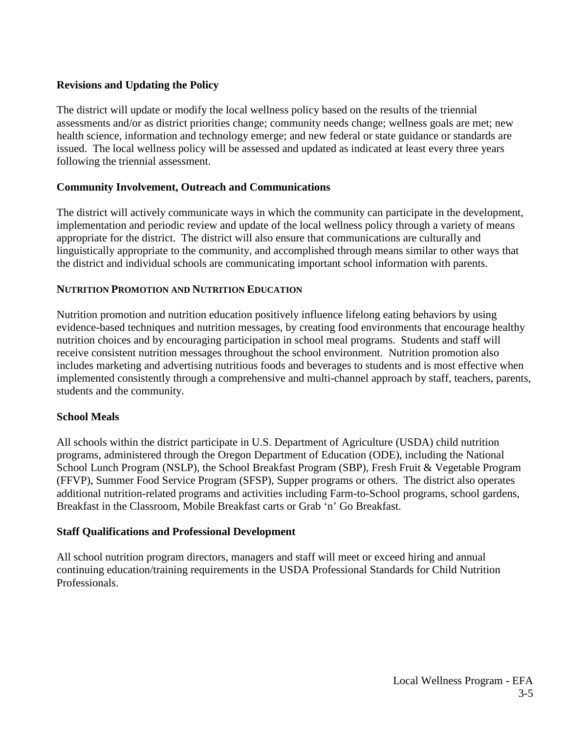#### **Revisions and Updating the Policy**

 health science, information and technology emerge; and new federal or state guidance or standards are The district will update or modify the local wellness policy based on the results of the triennial assessments and/or as district priorities change; community needs change; wellness goals are met; new issued. The local wellness policy will be assessed and updated as indicated at least every three years following the triennial assessment.

#### **Community Involvement, Outreach and Communications**

 appropriate for the district. The district will also ensure that communications are culturally and The district will actively communicate ways in which the community can participate in the development, implementation and periodic review and update of the local wellness policy through a variety of means linguistically appropriate to the community, and accomplished through means similar to other ways that the district and individual schools are communicating important school information with parents.

#### **NUTRITION PROMOTION AND NUTRITION EDUCATION**

 evidence-based techniques and nutrition messages, by creating food environments that encourage healthy implemented consistently through a comprehensive and multi-channel approach by staff, teachers, parents, Nutrition promotion and nutrition education positively influence lifelong eating behaviors by using nutrition choices and by encouraging participation in school meal programs. Students and staff will receive consistent nutrition messages throughout the school environment. Nutrition promotion also includes marketing and advertising nutritious foods and beverages to students and is most effective when students and the community.

#### **School Meals**

 programs, administered through the Oregon Department of Education (ODE), including the National All schools within the district participate in U.S. Department of Agriculture (USDA) child nutrition School Lunch Program (NSLP), the School Breakfast Program (SBP), Fresh Fruit & Vegetable Program (FFVP), Summer Food Service Program (SFSP), Supper programs or others. The district also operates additional nutrition-related programs and activities including Farm-to-School programs, school gardens, Breakfast in the Classroom, Mobile Breakfast carts or Grab 'n' Go Breakfast.

#### **Staff Qualifications and Professional Development**

 continuing education/training requirements in the USDA Professional Standards for Child Nutrition All school nutrition program directors, managers and staff will meet or exceed hiring and annual Professionals.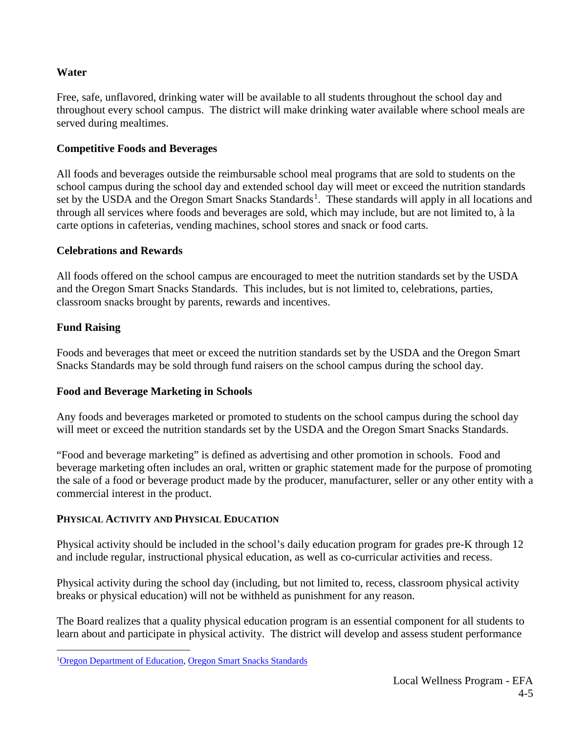#### **Water**

 Free, safe, unflavored, drinking water will be available to all students throughout the school day and throughout every school campus. The district will make drinking water available where school meals are served during mealtimes.

#### **Competitive Foods and Beverages**

All foods and beverages outside the reimbursable school meal programs that are sold to students on the school campus during the school day and extended school day will meet or exceed the nutrition standards set by the USDA and the Oregon Smart Snacks Standards<sup>[1](#page-3-0)</sup>. These standards will apply in all locations and through all services where foods and beverages are sold, which may include, but are not limited to, à la carte options in cafeterias, vending machines, school stores and snack or food carts.

#### **Celebrations and Rewards**

All foods offered on the school campus are encouraged to meet the nutrition standards set by the USDA and the Oregon Smart Snacks Standards. This includes, but is not limited to, celebrations, parties, classroom snacks brought by parents, rewards and incentives.

# **Fund Raising**

Foods and beverages that meet or exceed the nutrition standards set by the USDA and the Oregon Smart Snacks Standards may be sold through fund raisers on the school campus during the school day.

# **Food and Beverage Marketing in Schools**

Any foods and beverages marketed or promoted to students on the school campus during the school day will meet or exceed the nutrition standards set by the USDA and the Oregon Smart Snacks Standards.

 the sale of a food or beverage product made by the producer, manufacturer, seller or any other entity with a "Food and beverage marketing" is defined as advertising and other promotion in schools. Food and beverage marketing often includes an oral, written or graphic statement made for the purpose of promoting commercial interest in the product.

# **PHYSICAL ACTIVITY AND PHYSICAL EDUCATION**

Physical activity should be included in the school's daily education program for grades pre-K through 12 and include regular*,* instructional physical education, as well as co-curricular activities and recess.

Physical activity during the school day (including, but not limited to, recess, classroom physical activity breaks or physical education) will not be withheld as punishment for any reason.

The Board realizes that a quality physical education program is an essential component for all students to learn about and participate in physical activity. The district will develop and assess student performance

<span id="page-3-0"></span> $\overline{a}$ <sup>1</sup>[Oregon Department of Education,](file://ad.lebanon.k12.or.us/LEBFILES/HOME/Nicole.Hundley/Board/Meeting%20Packet%20Prep/2017-05/RAW/www.oregon.gov/ode) Oregon Smart Snacks Standards